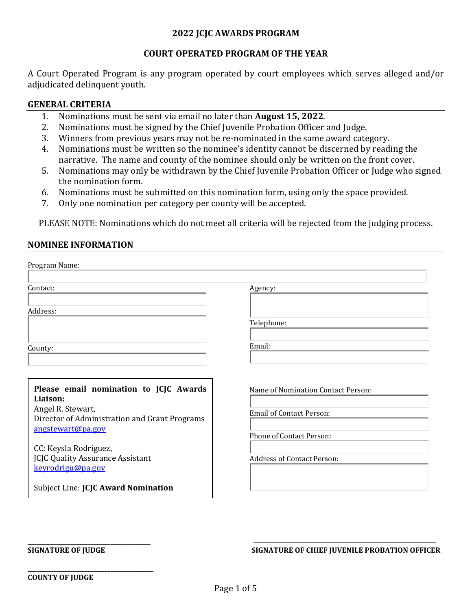#### **2022 JCJC AWARDS PROGRAM**

#### **COURT OPERATED PROGRAM OF THE YEAR**

A Court Operated Program is any program operated by court employees which serves alleged and/or adjudicated delinquent youth.

#### **GENERAL CRITERIA**

- 1. Nominations must be sent via email no later than **August 15, 2022**.<br>2. Nominations must be signed by the Chief Iuvenile Probation Officer
- 2. Nominations must be signed by the Chief Juvenile Probation Officer and Judge.
- 3. Winners from previous years may not be re-nominated in the same award category.
- 4. Nominations must be written so the nominee's identity cannot be discerned by reading the narrative. The name and county of the nominee should only be written on the front cover.
- 5. Nominations may only be withdrawn by the Chief Juvenile Probation Officer or Judge who signed the nomination form.
- 6. Nominations must be submitted on this nomination form, using only the space provided.<br>7. Only one nomination per category per county will be accepted.
- Only one nomination per category per county will be accepted.

PLEASE NOTE: Nominations which do not meet all criteria will be rejected from the judging process.

#### **NOMINEE INFORMATION**

| Program Name:                                                      |                                    |
|--------------------------------------------------------------------|------------------------------------|
| Contact:                                                           | Agency:                            |
| Address:                                                           |                                    |
|                                                                    | Telephone:                         |
| County:                                                            | Email:                             |
|                                                                    |                                    |
| Please email nomination to JCJC Awards                             | Name of Nomination Contact Person: |
| Liaison:<br>Angel R. Stewart,                                      | <b>Email of Contact Person:</b>    |
| Director of Administration and Grant Programs<br>angstewart@pa.gov | Phone of Contact Person:           |
| CC: Keysla Rodriguez,                                              |                                    |
| <b>JCJC Quality Assurance Assistant</b><br>keyrodrigu@pa.gov       | <b>Address of Contact Person:</b>  |
| Subject Line: JCJC Award Nomination                                |                                    |

**\_\_\_\_\_\_\_\_\_\_\_\_\_\_\_\_\_\_\_\_\_\_\_\_\_\_\_\_\_\_\_\_\_\_\_\_\_\_\_\_\_\_\_** 

**\_\_\_\_\_\_\_\_\_\_\_\_\_\_\_\_\_\_\_\_\_\_\_\_\_\_\_\_\_\_\_\_\_\_\_\_\_\_\_\_\_\_\_\_**

**SIGNATURE OF JUDGE SIGNATURE OF CHIEF JUVENILE PROBATION OFFICER**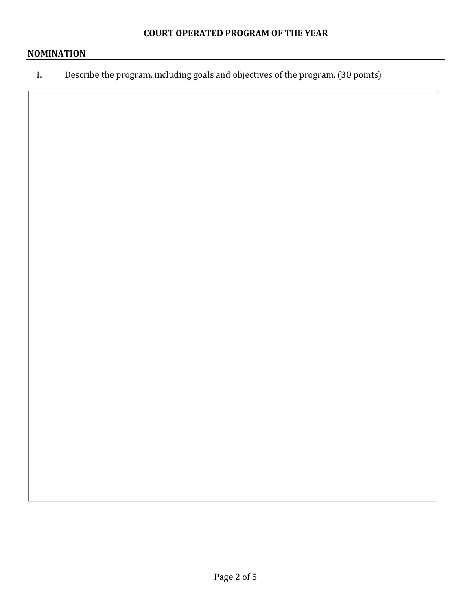# **NOMINATION**

I. Describe the program, including goals and objectives of the program. (30 points)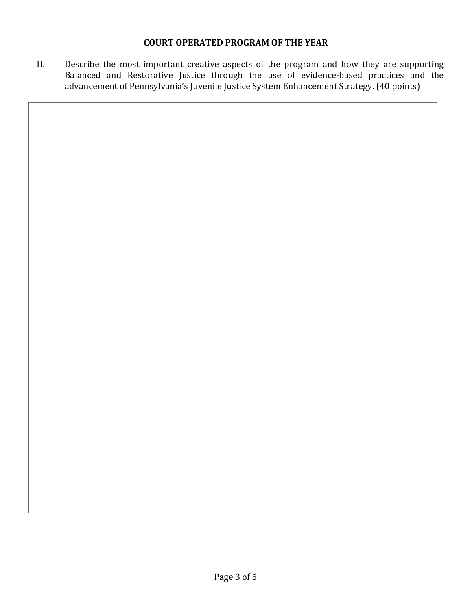### **COURT OPERATED PROGRAM OF THE YEAR**

II. Describe the most important creative aspects of the program and how they are supporting Balanced and Restorative Justice through the use of evidence-based practices and the advancement of Pennsylvania's Juvenile Justice System Enhancement Strategy. (40 points)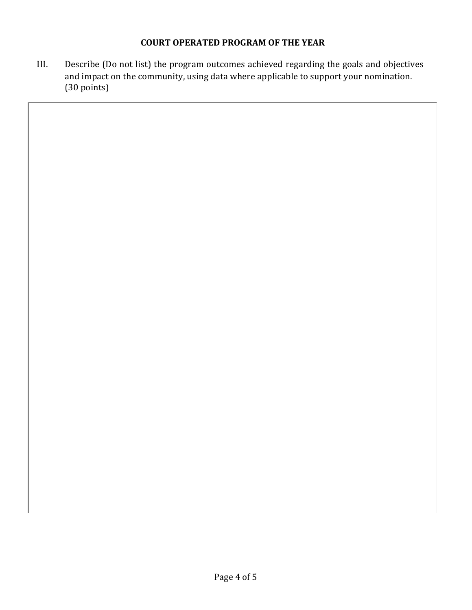## **COURT OPERATED PROGRAM OF THE YEAR**

III. Describe (Do not list) the program outcomes achieved regarding the goals and objectives and impact on the community, using data where applicable to support your nomination. (30 points)